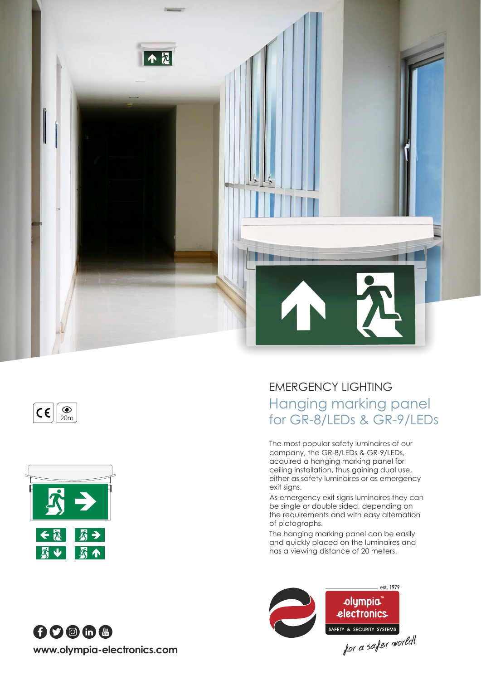







EMERGENCY LIGHTING Hanging marking panel o indiging making panel<br>for GR-8/LEDs & GR-9/LEDs

> The most popular safety luminaires of our company, the GR-8/LEDs & GR-9/LEDs, acquired a hanging marking panel for ceiling installation, thus gaining dual use, either as safety luminaires or as emergency exit signs.

As emergency exit signs luminaires they can be single or double sided, depending on the requirements and with easy alternation of pictographs.

The hanging marking panel can be easily and quickly placed on the luminaires and has a viewing distance of 20 meters.